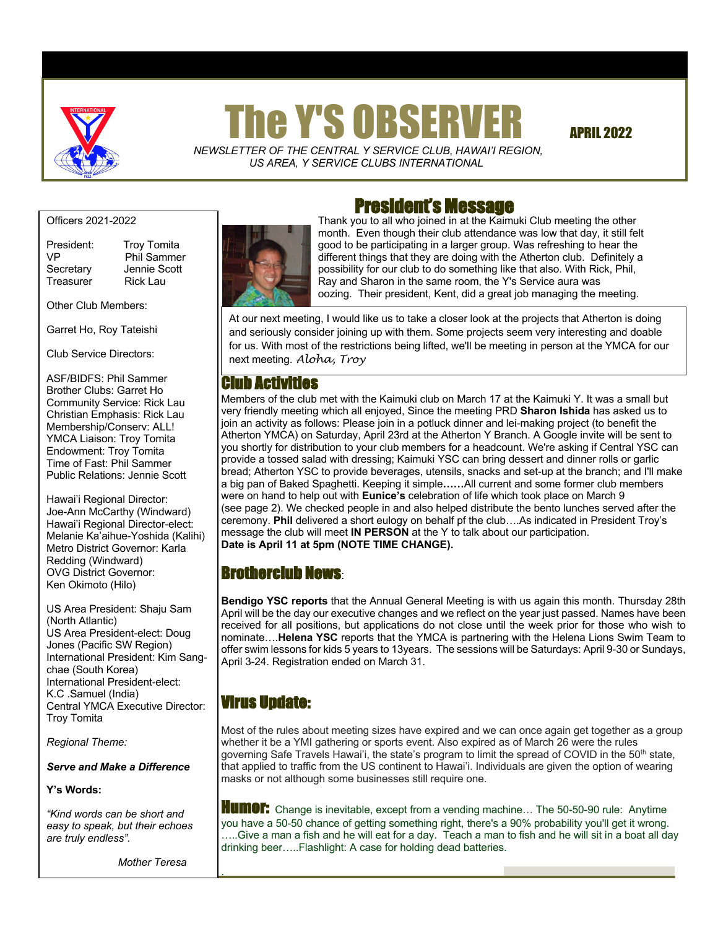

# he Y'S OBSERVER APRIL 2022

 *NEWSLETTER OF THE CENTRAL Y SERVICE CLUB*, *HAWAI'I REGION, US AREA, Y SERVICE CLUBS INTERNATIONAL*

Officers 2021-2022

Treasurer Rick Lau

President: Troy Tomita VP Phil Sammer Secretary Jennie Scott

Other Club Members:

Garret Ho, Roy Tateishi

Club Service Directors:

ASF/BIDFS: Phil Sammer Brother Clubs: Garret Ho Community Service: Rick Lau Christian Emphasis: Rick Lau Membership/Conserv: ALL! YMCA Liaison: Troy Tomita Endowment: Troy Tomita Time of Fast: Phil Sammer Public Relations: Jennie Scott

Hawai'i Regional Director: Joe-Ann McCarthy (Windward) Hawai'i Regional Director-elect: Melanie Ka'aihue-Yoshida (Kalihi) Metro District Governor: Karla Redding (Windward) OVG District Governor: Ken Okimoto (Hilo)

US Area President: Shaju Sam (North Atlantic) US Area President-elect: Doug Jones (Pacific SW Region) International President: Kim Sangchae (South Korea) International President-elect: K.C .Samuel (India) Central YMCA Executive Director: Troy Tomita

*Regional Theme:* 

*Serve and Make a Difference*

#### **Y's Words:**

 *easy to speak, but their echoes "Kind words can be short and are truly endless".*

 *Mother Teresa*

.



# President's Message

Thank you to all who joined in at the Kaimuki Club meeting the other month. Even though their club attendance was low that day, it still felt good to be participating in a larger group. Was refreshing to hear the different things that they are doing with the Atherton club. Definitely a possibility for our club to do something like that also. With Rick, Phil, Ray and Sharon in the same room, the Y's Service aura was oozing. Their president, Kent, did a great job managing the meeting.

At our next meeting, I would like us to take a closer look at the projects that Atherton is doing and seriously consider joining up with them. Some projects seem very interesting and doable for us. With most of the restrictions being lifted, we'll be meeting in person at the YMCA for our next meeting. *Aloha, Troy*

## **Ih Activities**

Members of the club met with the Kaimuki club on March 17 at the Kaimuki Y. It was a small but very friendly meeting which all enjoyed, Since the meeting PRD **Sharon Ishida** has asked us to join an activity as follows: Please join in a potluck dinner and lei-making project (to benefit the Atherton YMCA) on Saturday, April 23rd at the Atherton Y Branch. A Google invite will be sent to you shortly for distribution to your club members for a headcount. We're asking if Central YSC can provide a tossed salad with dressing; Kaimuki YSC can bring dessert and dinner rolls or garlic bread; Atherton YSC to provide beverages, utensils, snacks and set-up at the branch; and I'll make a big pan of Baked Spaghetti. Keeping it simple**……**All current and some former club members were on hand to help out with **Eunice's** celebration of life which took place on March 9 (see page 2). We checked people in and also helped distribute the bento lunches served after the ceremony. **Phil** delivered a short eulogy on behalf pf the club….As indicated in President Troy's message the club will meet **IN PERSON** at the Y to talk about our participation. **Date is April 11 at 5pm (NOTE TIME CHANGE).**

## Brotherclub News:

**Bendigo YSC reports** that the Annual General Meeting is with us again this month. Thursday 28th April will be the day our executive changes and we reflect on the year just passed. Names have been received for all positions, but applications do not close until the week prior for those who wish to nominate….**Helena YSC** reports that the YMCA is partnering with the Helena Lions Swim Team to offer swim lessons for kids 5 years to 13years. The sessions will be Saturdays: April 9-30 or Sundays, April 3-24. Registration ended on March 31.

# Virus Update:

Most of the rules about meeting sizes have expired and we can once again get together as a group whether it be a YMI gathering or sports event. Also expired as of March 26 were the rules governing Safe Travels Hawai'i, the state's program to limit the spread of COVID in the 50<sup>th</sup> state, that applied to traffic from the US continent to Hawai'i. Individuals are given the option of wearing masks or not although some businesses still require one.

**HUMOF:** Change is inevitable, except from a vending machine... The 50-50-90 rule: Anytime you have a 50-50 chance of getting something right, there's a 90% probability you'll get it wrong. …..Give a man a fish and he will eat for a day. Teach a man to fish and he will sit in a boat all day drinking beer…..Flashlight: A case for holding dead batteries.